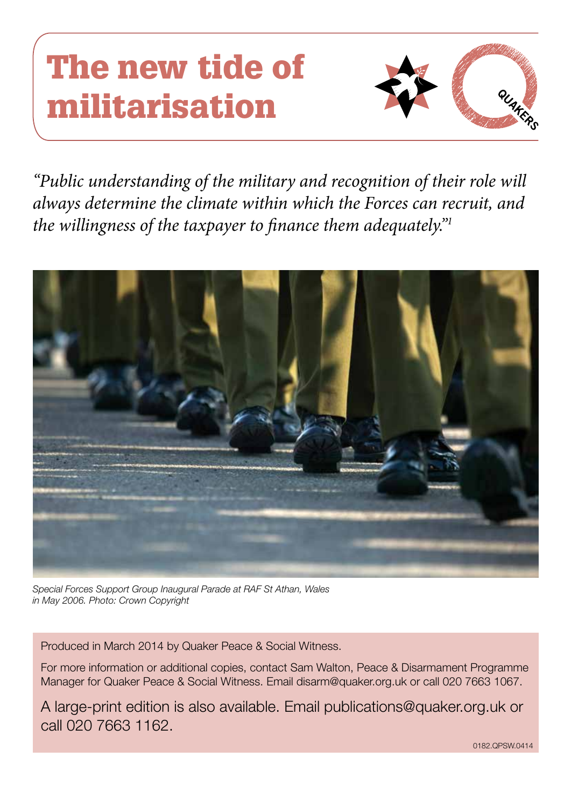# The new tide of militarisation



*"Public understanding of the military and recognition of their role will always determine the climate within which the Forces can recruit, and the willingness of the taxpayer to finance them adequately."1*



*Special Forces Support Group Inaugural Parade at RAF St Athan, Wales in May 2006. Photo: Crown Copyright*

Produced in March 2014 by Quaker Peace & Social Witness.

For more information or additional copies, contact Sam Walton, Peace & Disarmament Programme Manager for Quaker Peace & Social Witness. Email disarm@quaker.org.uk or call 020 7663 1067.

A large-print edition is also available. Email publications@quaker.org.uk or call 020 7663 1162.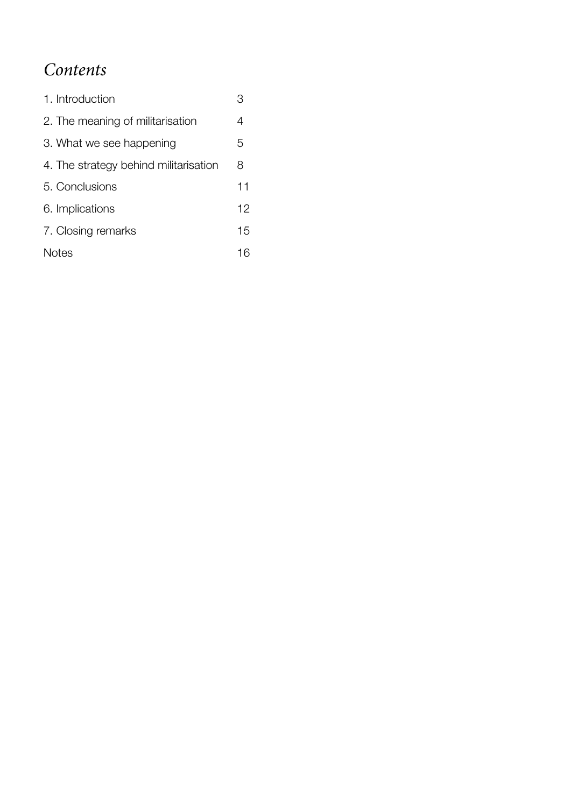## *Contents*

| 1. Introduction                       | З  |
|---------------------------------------|----|
| 2. The meaning of militarisation      | 4  |
| 3. What we see happening              | 5  |
| 4. The strategy behind militarisation | 8  |
| 5. Conclusions                        | 11 |
| 6. Implications                       | 12 |
| 7. Closing remarks                    | 15 |
| <b>Notes</b>                          | 16 |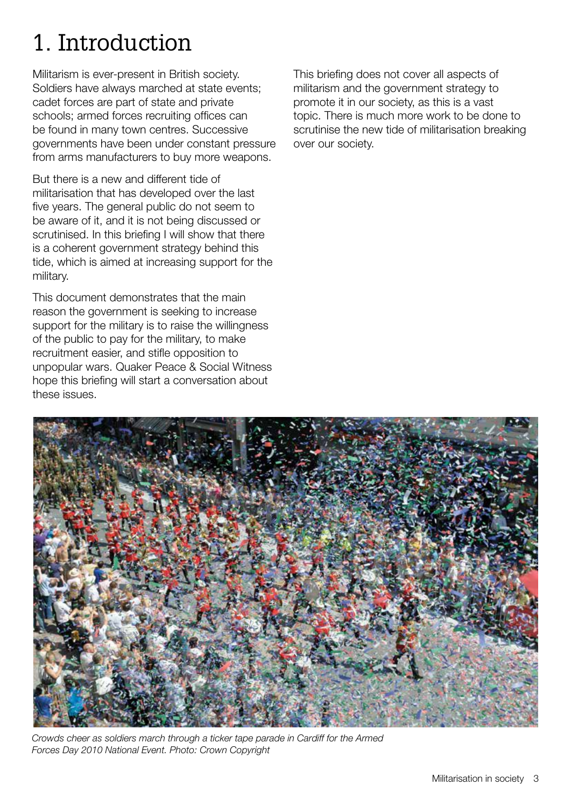## 1. Introduction

Militarism is ever-present in British society. Soldiers have always marched at state events; cadet forces are part of state and private schools; armed forces recruiting offices can be found in many town centres. Successive governments have been under constant pressure from arms manufacturers to buy more weapons.

But there is a new and different tide of militarisation that has developed over the last five years. The general public do not seem to be aware of it, and it is not being discussed or scrutinised. In this briefing I will show that there is a coherent government strategy behind this tide, which is aimed at increasing support for the military.

This document demonstrates that the main reason the government is seeking to increase support for the military is to raise the willingness of the public to pay for the military, to make recruitment easier, and stifle opposition to unpopular wars. Quaker Peace & Social Witness hope this briefing will start a conversation about these issues.

This briefing does not cover all aspects of militarism and the government strategy to promote it in our society, as this is a vast topic. There is much more work to be done to scrutinise the new tide of militarisation breaking over our society.



*Crowds cheer as soldiers march through a ticker tape parade in Cardiff for the Armed Forces Day 2010 National Event. Photo: Crown Copyright*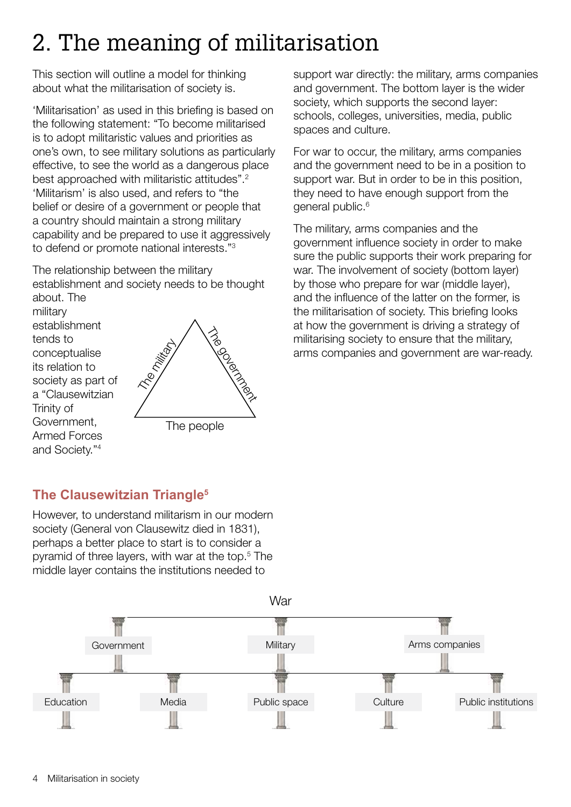## 2. The meaning of militarisation

This section will outline a model for thinking about what the militarisation of society is.

'Militarisation' as used in this briefing is based on the following statement: "To become militarised is to adopt militaristic values and priorities as one's own, to see military solutions as particularly effective, to see the world as a dangerous place best approached with militaristic attitudes".<sup>2</sup> 'Militarism' is also used, and refers to "the belief or desire of a government or people that a country should maintain a strong military capability and be prepared to use it aggressively to defend or promote national interests."3

The relationship between the military establishment and society needs to be thought about. The

military establishment tends to conceptualise its relation to society as part of a "Clausewitzian Trinity of Government, Armed Forces and Society."4



support war directly: the military, arms companies and government. The bottom layer is the wider society, which supports the second layer: schools, colleges, universities, media, public spaces and culture.

For war to occur, the military, arms companies and the government need to be in a position to support war. But in order to be in this position, they need to have enough support from the general public.<sup>6</sup>

The military, arms companies and the government influence society in order to make sure the public supports their work preparing for war. The involvement of society (bottom layer) by those who prepare for war (middle layer), and the influence of the latter on the former, is the militarisation of society. This briefing looks at how the government is driving a strategy of militarising society to ensure that the military, arms companies and government are war-ready.

## **The Clausewitzian Triangle5**

However, to understand militarism in our modern society (General von Clausewitz died in 1831), perhaps a better place to start is to consider a pyramid of three layers, with war at the top.5 The middle layer contains the institutions needed to

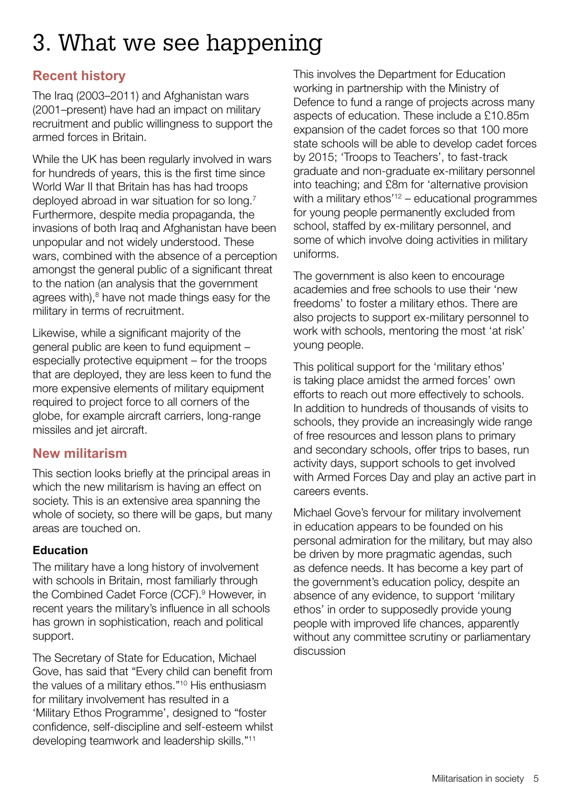## 3. What we see happening

## **Recent history**

The Iraq (2003–2011) and Afghanistan wars (2001–present) have had an impact on military recruitment and public willingness to support the armed forces in Britain.

While the UK has been regularly involved in wars for hundreds of years, this is the first time since World War II that Britain has has had troops deployed abroad in war situation for so long.7 Furthermore, despite media propaganda, the invasions of both Iraq and Afghanistan have been unpopular and not widely understood. These wars, combined with the absence of a perception amongst the general public of a significant threat to the nation (an analysis that the government agrees with), $8$  have not made things easy for the military in terms of recruitment.

Likewise, while a significant majority of the general public are keen to fund equipment – especially protective equipment – for the troops that are deployed, they are less keen to fund the more expensive elements of military equipment required to project force to all corners of the globe, for example aircraft carriers, long-range missiles and jet aircraft.

## **New militarism**

This section looks briefly at the principal areas in which the new militarism is having an effect on society. This is an extensive area spanning the whole of society, so there will be gaps, but many areas are touched on.

### **Education**

The military have a long history of involvement with schools in Britain, most familiarly through the Combined Cadet Force (CCF).<sup>9</sup> However, in recent years the military's influence in all schools has grown in sophistication, reach and political support.

The Secretary of State for Education, Michael Gove, has said that "Every child can benefit from the values of a military ethos."10 His enthusiasm for military involvement has resulted in a 'Military Ethos Programme', designed to "foster confidence, self-discipline and self-esteem whilst developing teamwork and leadership skills."11

This involves the Department for Education working in partnership with the Ministry of Defence to fund a range of projects across many aspects of education. These include a £10.85m expansion of the cadet forces so that 100 more state schools will be able to develop cadet forces by 2015; 'Troops to Teachers', to fast-track graduate and non-graduate ex-military personnel into teaching; and £8m for 'alternative provision with a military  $e<sup>'12</sup>$  – educational programmes for young people permanently excluded from school, staffed by ex-military personnel, and some of which involve doing activities in military uniforms.

The government is also keen to encourage academies and free schools to use their 'new freedoms' to foster a military ethos. There are also projects to support ex-military personnel to work with schools, mentoring the most 'at risk' young people.

This political support for the 'military ethos' is taking place amidst the armed forces' own efforts to reach out more effectively to schools. In addition to hundreds of thousands of visits to schools, they provide an increasingly wide range of free resources and lesson plans to primary and secondary schools, offer trips to bases, run activity days, support schools to get involved with Armed Forces Day and play an active part in careers events.

Michael Gove's fervour for military involvement in education appears to be founded on his personal admiration for the military, but may also be driven by more pragmatic agendas, such as defence needs. It has become a key part of the government's education policy, despite an absence of any evidence, to support 'military ethos' in order to supposedly provide young people with improved life chances, apparently without any committee scrutiny or parliamentary discussion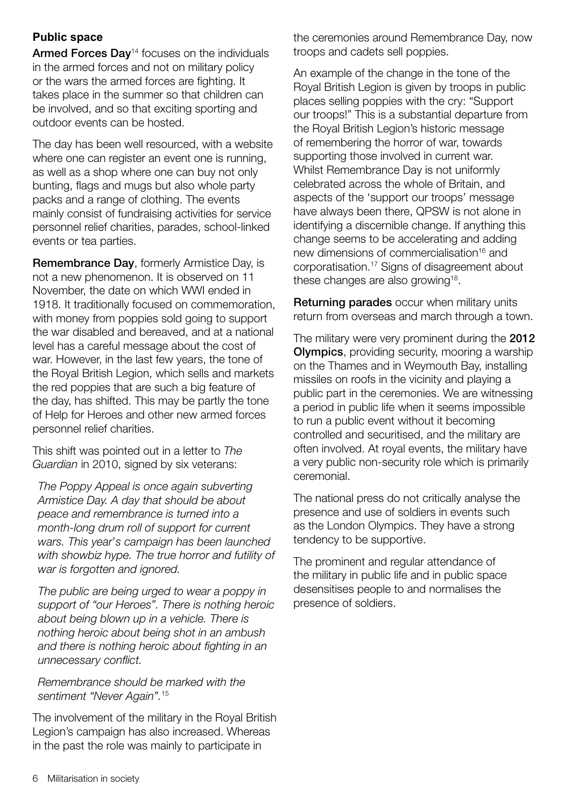#### **Public space**

Armed Forces Day<sup>14</sup> focuses on the individuals in the armed forces and not on military policy or the wars the armed forces are fighting. It takes place in the summer so that children can be involved, and so that exciting sporting and outdoor events can be hosted.

The day has been well resourced, with a website where one can register an event one is running, as well as a shop where one can buy not only bunting, flags and mugs but also whole party packs and a range of clothing. The events mainly consist of fundraising activities for service personnel relief charities, parades, school-linked events or tea parties.

Remembrance Day, formerly Armistice Day, is not a new phenomenon. It is observed on 11 November, the date on which WWI ended in 1918. It traditionally focused on commemoration, with money from poppies sold going to support the war disabled and bereaved, and at a national level has a careful message about the cost of war. However, in the last few years, the tone of the Royal British Legion, which sells and markets the red poppies that are such a big feature of the day, has shifted. This may be partly the tone of Help for Heroes and other new armed forces personnel relief charities.

This shift was pointed out in a letter to *The Guardian* in 2010, signed by six veterans:

*The Poppy Appeal is once again subverting Armistice Day. A day that should be about peace and remembrance is turned into a month-long drum roll of support for current wars. This year*'*s campaign has been launched with showbiz hype. The true horror and futility of war is forgotten and ignored.*

*The public are being urged to wear a poppy in support of "our Heroes". There is nothing heroic about being blown up in a vehicle. There is nothing heroic about being shot in an ambush and there is nothing heroic about fighting in an unnecessary conflict.*

#### *Remembrance should be marked with the sentiment "Never Again".*<sup>15</sup>

The involvement of the military in the Royal British Legion's campaign has also increased. Whereas in the past the role was mainly to participate in

the ceremonies around Remembrance Day, now troops and cadets sell poppies.

An example of the change in the tone of the Royal British Legion is given by troops in public places selling poppies with the cry: "Support our troops!" This is a substantial departure from the Royal British Legion's historic message of remembering the horror of war, towards supporting those involved in current war. Whilst Remembrance Day is not uniformly celebrated across the whole of Britain, and aspects of the 'support our troops' message have always been there, QPSW is not alone in identifying a discernible change. If anything this change seems to be accelerating and adding new dimensions of commercialisation<sup>16</sup> and corporatisation.17 Signs of disagreement about these changes are also growing<sup>18</sup>.

Returning parades occur when military units return from overseas and march through a town.

The military were very prominent during the 2012 Olympics, providing security, mooring a warship on the Thames and in Weymouth Bay, installing missiles on roofs in the vicinity and playing a public part in the ceremonies. We are witnessing a period in public life when it seems impossible to run a public event without it becoming controlled and securitised, and the military are often involved. At royal events, the military have a very public non-security role which is primarily ceremonial.

The national press do not critically analyse the presence and use of soldiers in events such as the London Olympics. They have a strong tendency to be supportive.

The prominent and regular attendance of the military in public life and in public space desensitises people to and normalises the presence of soldiers.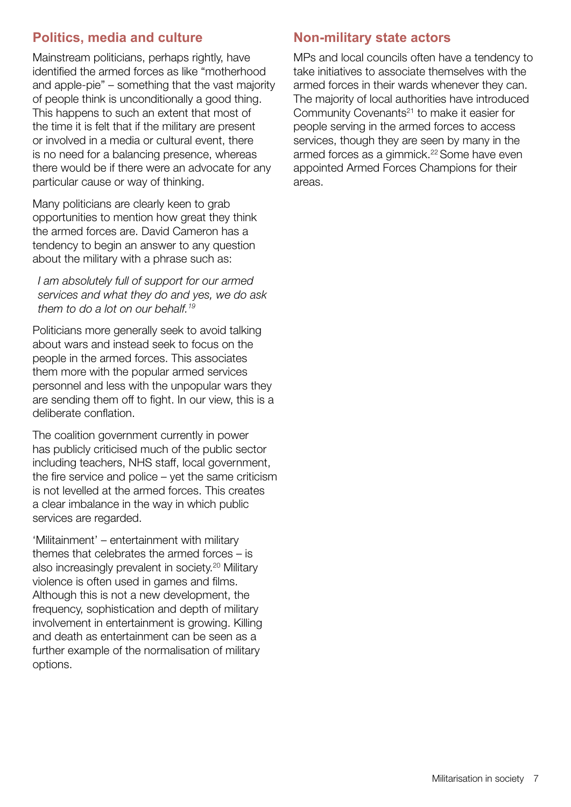## **Politics, media and culture**

Mainstream politicians, perhaps rightly, have identified the armed forces as like "motherhood and apple-pie" – something that the vast majority of people think is unconditionally a good thing. This happens to such an extent that most of the time it is felt that if the military are present or involved in a media or cultural event, there is no need for a balancing presence, whereas there would be if there were an advocate for any particular cause or way of thinking.

Many politicians are clearly keen to grab opportunities to mention how great they think the armed forces are. David Cameron has a tendency to begin an answer to any question about the military with a phrase such as:

*I am absolutely full of support for our armed services and what they do and yes, we do ask them to do a lot on our behalf.19*

Politicians more generally seek to avoid talking about wars and instead seek to focus on the people in the armed forces. This associates them more with the popular armed services personnel and less with the unpopular wars they are sending them off to fight. In our view, this is a deliberate conflation.

The coalition government currently in power has publicly criticised much of the public sector including teachers, NHS staff, local government, the fire service and police  $-$  yet the same criticism is not levelled at the armed forces. This creates a clear imbalance in the way in which public services are regarded.

'Militainment' – entertainment with military themes that celebrates the armed forces – is also increasingly prevalent in society.<sup>20</sup> Military violence is often used in games and films. Although this is not a new development, the frequency, sophistication and depth of military involvement in entertainment is growing. Killing and death as entertainment can be seen as a further example of the normalisation of military options.

## **Non-military state actors**

MPs and local councils often have a tendency to take initiatives to associate themselves with the armed forces in their wards whenever they can. The majority of local authorities have introduced Community Covenants<sup>21</sup> to make it easier for people serving in the armed forces to access services, though they are seen by many in the armed forces as a gimmick.<sup>22</sup> Some have even appointed Armed Forces Champions for their areas.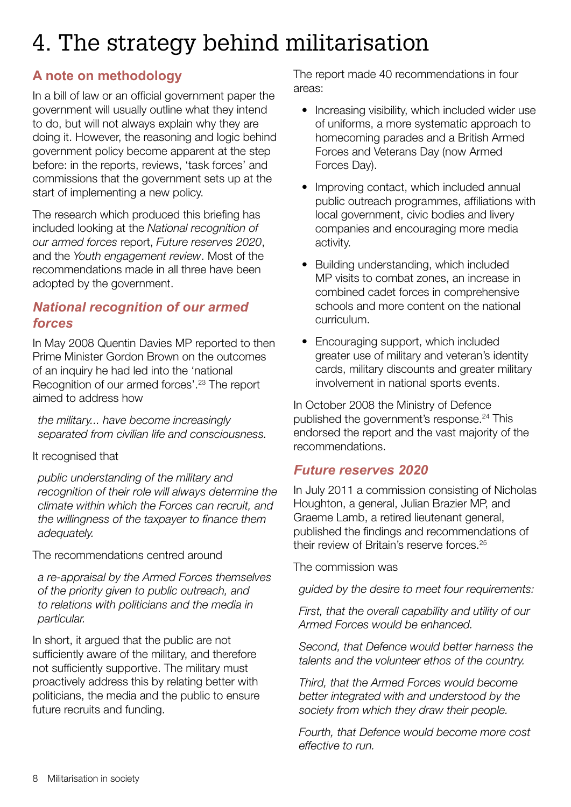## 4. The strategy behind militarisation

## **A note on methodology**

In a bill of law or an official government paper the government will usually outline what they intend to do, but will not always explain why they are doing it. However, the reasoning and logic behind government policy become apparent at the step before: in the reports, reviews, 'task forces' and commissions that the government sets up at the start of implementing a new policy.

The research which produced this briefing has included looking at the *National recognition of our armed forces* report, *Future reserves 2020*, and the *Youth engagement review*. Most of the recommendations made in all three have been adopted by the government.

### *National recognition of our armed forces*

In May 2008 Quentin Davies MP reported to then Prime Minister Gordon Brown on the outcomes of an inquiry he had led into the 'national Recognition of our armed forces'.23 The report aimed to address how

*the military... have become increasingly separated from civilian life and consciousness.*

#### It recognised that

*public understanding of the military and recognition of their role will always determine the climate within which the Forces can recruit, and the willingness of the taxpayer to finance them adequately.*

The recommendations centred around

*a re-appraisal by the Armed Forces themselves of the priority given to public outreach, and to relations with politicians and the media in particular.* 

In short, it argued that the public are not sufficiently aware of the military, and therefore not sufficiently supportive. The military must proactively address this by relating better with politicians, the media and the public to ensure future recruits and funding.

The report made 40 recommendations in four areas:

- Increasing visibility, which included wider use of uniforms, a more systematic approach to homecoming parades and a British Armed Forces and Veterans Day (now Armed Forces Day).
- Improving contact, which included annual public outreach programmes, affiliations with local government, civic bodies and livery companies and encouraging more media activity.
- Building understanding, which included MP visits to combat zones, an increase in combined cadet forces in comprehensive schools and more content on the national curriculum.
- Encouraging support, which included greater use of military and veteran's identity cards, military discounts and greater military involvement in national sports events.

In October 2008 the Ministry of Defence published the government's response.<sup>24</sup> This endorsed the report and the vast majority of the recommendations.

## *Future reserves 2020*

In July 2011 a commission consisting of Nicholas Houghton, a general, Julian Brazier MP, and Graeme Lamb, a retired lieutenant general, published the findings and recommendations of their review of Britain's reserve forces.25

The commission was

*guided by the desire to meet four requirements:*

*First, that the overall capability and utility of our Armed Forces would be enhanced.*

*Second, that Defence would better harness the talents and the volunteer ethos of the country.*

*Third, that the Armed Forces would become better integrated with and understood by the society from which they draw their people.*

*Fourth, that Defence would become more cost effective to run.*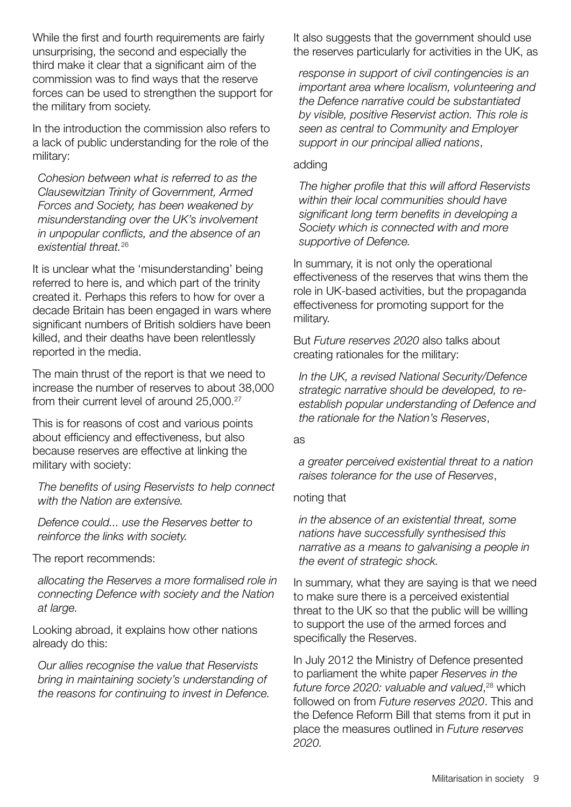While the first and fourth requirements are fairly unsurprising, the second and especially the third make it clear that a significant aim of the commission was to find ways that the reserve forces can be used to strengthen the support for the military from society.

In the introduction the commission also refers to a lack of public understanding for the role of the military:

*Cohesion between what is referred to as the Clausewitzian Trinity of Government, Armed Forces and Society, has been weakened by misunderstanding over the UK's involvement in unpopular conflicts, and the absence of an existential threat.*<sup>26</sup>

It is unclear what the 'misunderstanding' being referred to here is, and which part of the trinity created it. Perhaps this refers to how for over a decade Britain has been engaged in wars where significant numbers of British soldiers have been killed, and their deaths have been relentlessly reported in the media.

The main thrust of the report is that we need to increase the number of reserves to about 38,000 from their current level of around 25,000.<sup>27</sup>

This is for reasons of cost and various points about efficiency and effectiveness, but also because reserves are effective at linking the military with society:

*The benefits of using Reservists to help connect with the Nation are extensive.* 

*Defence could... use the Reserves better to reinforce the links with society.* 

The report recommends:

*allocating the Reserves a more formalised role in connecting Defence with society and the Nation at large.*

Looking abroad, it explains how other nations already do this:

*Our allies recognise the value that Reservists bring in maintaining society's understanding of the reasons for continuing to invest in Defence.* It also suggests that the government should use the reserves particularly for activities in the UK, as

*response in support of civil contingencies is an important area where localism, volunteering and the Defence narrative could be substantiated by visible, positive Reservist action. This role is seen as central to Community and Employer support in our principal allied nations*,

#### adding

*The higher profile that this will afford Reservists within their local communities should have significant long term benefits in developing a Society which is connected with and more supportive of Defence.*

In summary, it is not only the operational effectiveness of the reserves that wins them the role in UK-based activities, but the propaganda effectiveness for promoting support for the military.

But *Future reserves 2020* also talks about creating rationales for the military:

*In the UK, a revised National Security/Defence strategic narrative should be developed, to reestablish popular understanding of Defence and the rationale for the Nation's Reserves*,

#### as

*a greater perceived existential threat to a nation raises tolerance for the use of Reserves*,

#### noting that

*in the absence of an existential threat, some nations have successfully synthesised this narrative as a means to galvanising a people in the event of strategic shock.*

In summary, what they are saying is that we need to make sure there is a perceived existential threat to the UK so that the public will be willing to support the use of the armed forces and specifically the Reserves.

In July 2012 the Ministry of Defence presented to parliament the white paper *Reserves in the future force 2020: valuable and valued*, 28 which followed on from *Future reserves 2020*. This and the Defence Reform Bill that stems from it put in place the measures outlined in *Future reserves 2020.*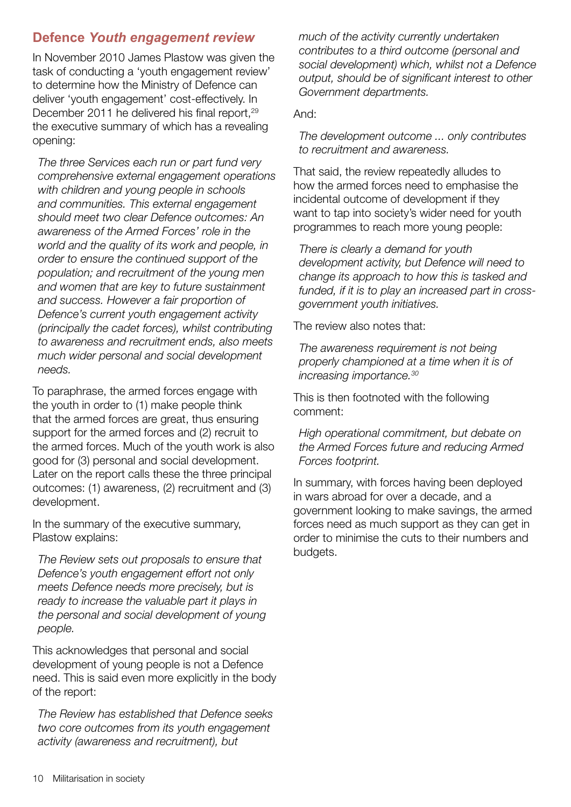## **Defence** *Youth engagement review*

In November 2010 James Plastow was given the task of conducting a 'youth engagement review' to determine how the Ministry of Defence can deliver 'youth engagement' cost-effectively. In December 2011 he delivered his final report,<sup>29</sup> the executive summary of which has a revealing opening:

*The three Services each run or part fund very comprehensive external engagement operations with children and young people in schools and communities. This external engagement should meet two clear Defence outcomes: An awareness of the Armed Forces' role in the world and the quality of its work and people, in order to ensure the continued support of the population; and recruitment of the young men and women that are key to future sustainment and success. However a fair proportion of Defence's current youth engagement activity (principally the cadet forces), whilst contributing to awareness and recruitment ends, also meets much wider personal and social development needs.* 

To paraphrase, the armed forces engage with the youth in order to (1) make people think that the armed forces are great, thus ensuring support for the armed forces and (2) recruit to the armed forces. Much of the youth work is also good for (3) personal and social development. Later on the report calls these the three principal outcomes: (1) awareness, (2) recruitment and (3) development.

In the summary of the executive summary, Plastow explains:

*The Review sets out proposals to ensure that Defence's youth engagement effort not only meets Defence needs more precisely, but is ready to increase the valuable part it plays in the personal and social development of young people.*

This acknowledges that personal and social development of young people is not a Defence need. This is said even more explicitly in the body of the report:

*The Review has established that Defence seeks two core outcomes from its youth engagement activity (awareness and recruitment), but* 

*much of the activity currently undertaken contributes to a third outcome (personal and social development) which, whilst not a Defence output, should be of significant interest to other Government departments.*

And:

*The development outcome ... only contributes to recruitment and awareness.*

That said, the review repeatedly alludes to how the armed forces need to emphasise the incidental outcome of development if they want to tap into society's wider need for youth programmes to reach more young people:

*There is clearly a demand for youth development activity, but Defence will need to change its approach to how this is tasked and funded, if it is to play an increased part in crossgovernment youth initiatives.*

The review also notes that:

*The awareness requirement is not being properly championed at a time when it is of increasing importance.30*

This is then footnoted with the following comment:

*High operational commitment, but debate on the Armed Forces future and reducing Armed Forces footprint.*

In summary, with forces having been deployed in wars abroad for over a decade, and a government looking to make savings, the armed forces need as much support as they can get in order to minimise the cuts to their numbers and budgets.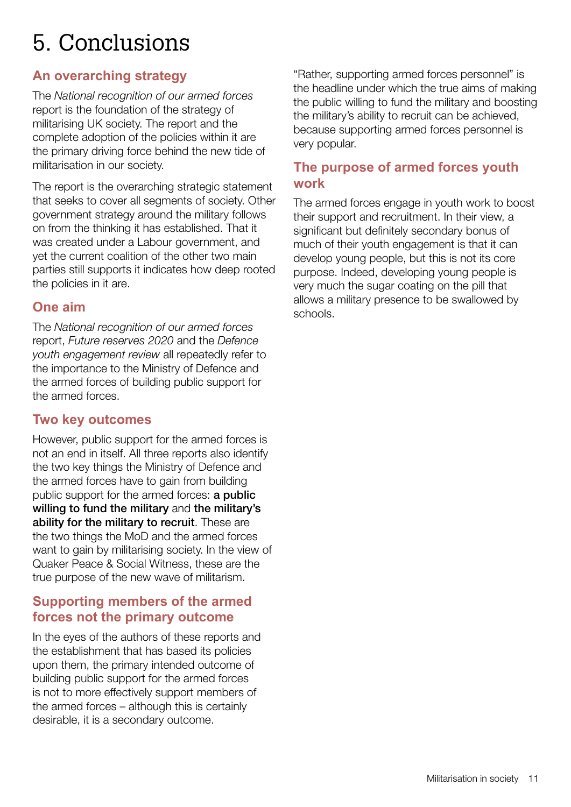## 5. Conclusions

## **An overarching strategy**

The *National recognition of our armed forces* report is the foundation of the strategy of militarising UK society. The report and the complete adoption of the policies within it are the primary driving force behind the new tide of militarisation in our society.

The report is the overarching strategic statement that seeks to cover all segments of society. Other government strategy around the military follows on from the thinking it has established. That it was created under a Labour government, and yet the current coalition of the other two main parties still supports it indicates how deep rooted the policies in it are.

### **One aim**

The *National recognition of our armed forces* report, *Future reserves 2020* and the *Defence youth engagement review* all repeatedly refer to the importance to the Ministry of Defence and the armed forces of building public support for the armed forces.

### **Two key outcomes**

However, public support for the armed forces is not an end in itself. All three reports also identify the two key things the Ministry of Defence and the armed forces have to gain from building public support for the armed forces: a public willing to fund the military and the military's ability for the military to recruit. These are the two things the MoD and the armed forces want to gain by militarising society. In the view of Quaker Peace & Social Witness, these are the true purpose of the new wave of militarism.

## **Supporting members of the armed forces not the primary outcome**

In the eyes of the authors of these reports and the establishment that has based its policies upon them, the primary intended outcome of building public support for the armed forces is not to more effectively support members of the armed forces – although this is certainly desirable, it is a secondary outcome.

"Rather, supporting armed forces personnel" is the headline under which the true aims of making the public willing to fund the military and boosting the military's ability to recruit can be achieved, because supporting armed forces personnel is very popular.

### **The purpose of armed forces youth work**

The armed forces engage in youth work to boost their support and recruitment. In their view, a significant but definitely secondary bonus of much of their youth engagement is that it can develop young people, but this is not its core purpose. Indeed, developing young people is very much the sugar coating on the pill that allows a military presence to be swallowed by schools.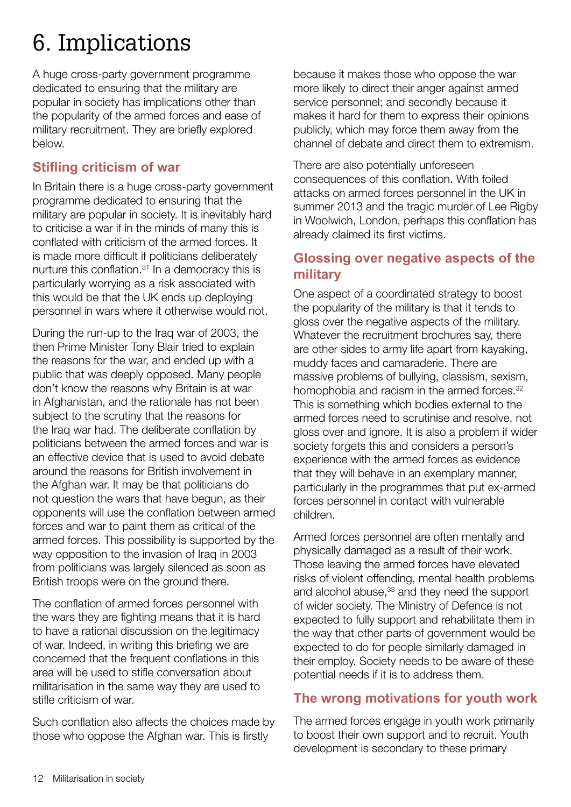## 6. Implications

A huge cross-party government programme dedicated to ensuring that the military are popular in society has implications other than the popularity of the armed forces and ease of military recruitment. They are briefly explored below.

## **Stifling criticism of war**

In Britain there is a huge cross-party government programme dedicated to ensuring that the military are popular in society. It is inevitably hard to criticise a war if in the minds of many this is conflated with criticism of the armed forces. It is made more difficult if politicians deliberately nurture this conflation.<sup>31</sup> In a democracy this is particularly worrying as a risk associated with this would be that the UK ends up deploying personnel in wars where it otherwise would not.

During the run-up to the Iraq war of 2003, the then Prime Minister Tony Blair tried to explain the reasons for the war, and ended up with a public that was deeply opposed. Many people don't know the reasons why Britain is at war in Afghanistan, and the rationale has not been subject to the scrutiny that the reasons for the Iraq war had. The deliberate conflation by politicians between the armed forces and war is an effective device that is used to avoid debate around the reasons for British involvement in the Afghan war. It may be that politicians do not question the wars that have begun, as their opponents will use the conflation between armed forces and war to paint them as critical of the armed forces. This possibility is supported by the way opposition to the invasion of Iraq in 2003 from politicians was largely silenced as soon as British troops were on the ground there.

The conflation of armed forces personnel with the wars they are fighting means that it is hard to have a rational discussion on the legitimacy of war. Indeed, in writing this briefing we are concerned that the frequent conflations in this area will be used to stifle conversation about militarisation in the same way they are used to stifle criticism of war.

Such conflation also affects the choices made by those who oppose the Afghan war. This is firstly

because it makes those who oppose the war more likely to direct their anger against armed service personnel; and secondly because it makes it hard for them to express their opinions publicly, which may force them away from the channel of debate and direct them to extremism.

There are also potentially unforeseen consequences of this conflation. With foiled attacks on armed forces personnel in the UK in summer 2013 and the tragic murder of Lee Rigby in Woolwich, London, perhaps this conflation has already claimed its first victims.

## **Glossing over negative aspects of the military**

One aspect of a coordinated strategy to boost the popularity of the military is that it tends to gloss over the negative aspects of the military. Whatever the recruitment brochures say, there are other sides to army life apart from kayaking, muddy faces and camaraderie. There are massive problems of bullying, classism, sexism, homophobia and racism in the armed forces.<sup>32</sup> This is something which bodies external to the armed forces need to scrutinise and resolve, not gloss over and ignore. It is also a problem if wider society forgets this and considers a person's experience with the armed forces as evidence that they will behave in an exemplary manner, particularly in the programmes that put ex-armed forces personnel in contact with vulnerable children.

Armed forces personnel are often mentally and physically damaged as a result of their work. Those leaving the armed forces have elevated risks of violent offending, mental health problems and alcohol abuse,<sup>33</sup> and they need the support of wider society. The Ministry of Defence is not expected to fully support and rehabilitate them in the way that other parts of government would be expected to do for people similarly damaged in their employ. Society needs to be aware of these potential needs if it is to address them.

### **The wrong motivations for youth work**

The armed forces engage in youth work primarily to boost their own support and to recruit. Youth development is secondary to these primary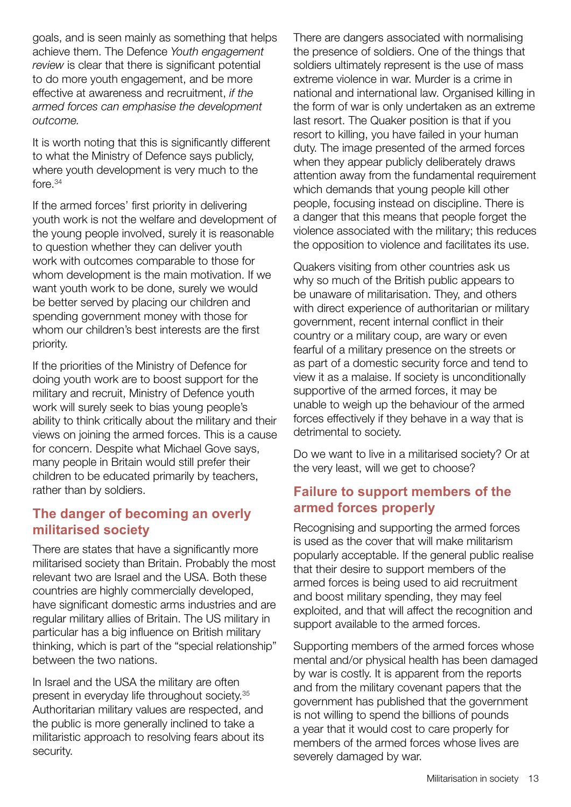goals, and is seen mainly as something that helps achieve them. The Defence *Youth engagement review* is clear that there is significant potential to do more youth engagement, and be more effective at awareness and recruitment, *if the armed forces can emphasise the development outcome.*

It is worth noting that this is significantly different to what the Ministry of Defence says publicly, where youth development is very much to the fore.34

If the armed forces' first priority in delivering youth work is not the welfare and development of the young people involved, surely it is reasonable to question whether they can deliver youth work with outcomes comparable to those for whom development is the main motivation. If we want youth work to be done, surely we would be better served by placing our children and spending government money with those for whom our children's best interests are the first priority.

If the priorities of the Ministry of Defence for doing youth work are to boost support for the military and recruit, Ministry of Defence youth work will surely seek to bias young people's ability to think critically about the military and their views on joining the armed forces. This is a cause for concern. Despite what Michael Gove says, many people in Britain would still prefer their children to be educated primarily by teachers, rather than by soldiers.

## **The danger of becoming an overly militarised society**

There are states that have a significantly more militarised society than Britain. Probably the most relevant two are Israel and the USA. Both these countries are highly commercially developed, have significant domestic arms industries and are regular military allies of Britain. The US military in particular has a big influence on British military thinking, which is part of the "special relationship" between the two nations.

In Israel and the USA the military are often present in everyday life throughout society.35 Authoritarian military values are respected, and the public is more generally inclined to take a militaristic approach to resolving fears about its security.

There are dangers associated with normalising the presence of soldiers. One of the things that soldiers ultimately represent is the use of mass extreme violence in war. Murder is a crime in national and international law. Organised killing in the form of war is only undertaken as an extreme last resort. The Quaker position is that if you resort to killing, you have failed in your human duty. The image presented of the armed forces when they appear publicly deliberately draws attention away from the fundamental requirement which demands that young people kill other people, focusing instead on discipline. There is a danger that this means that people forget the violence associated with the military; this reduces the opposition to violence and facilitates its use.

Quakers visiting from other countries ask us why so much of the British public appears to be unaware of militarisation. They, and others with direct experience of authoritarian or military government, recent internal conflict in their country or a military coup, are wary or even fearful of a military presence on the streets or as part of a domestic security force and tend to view it as a malaise. If society is unconditionally supportive of the armed forces, it may be unable to weigh up the behaviour of the armed forces effectively if they behave in a way that is detrimental to society.

Do we want to live in a militarised society? Or at the very least, will we get to choose?

## **Failure to support members of the armed forces properly**

Recognising and supporting the armed forces is used as the cover that will make militarism popularly acceptable. If the general public realise that their desire to support members of the armed forces is being used to aid recruitment and boost military spending, they may feel exploited, and that will affect the recognition and support available to the armed forces.

Supporting members of the armed forces whose mental and/or physical health has been damaged by war is costly. It is apparent from the reports and from the military covenant papers that the government has published that the government is not willing to spend the billions of pounds a year that it would cost to care properly for members of the armed forces whose lives are severely damaged by war.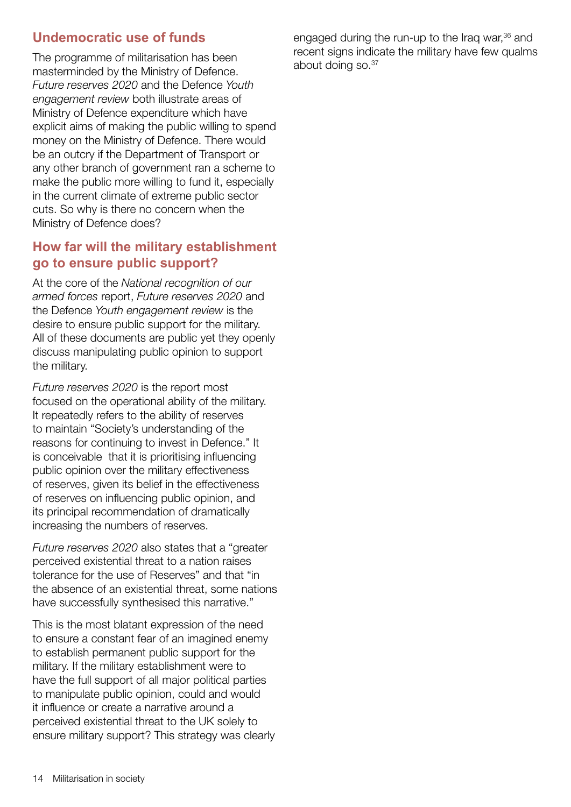## **Undemocratic use of funds**

The programme of militarisation has been masterminded by the Ministry of Defence. *Future reserves 2020* and the Defence *Youth engagement review* both illustrate areas of Ministry of Defence expenditure which have explicit aims of making the public willing to spend money on the Ministry of Defence. There would be an outcry if the Department of Transport or any other branch of government ran a scheme to make the public more willing to fund it, especially in the current climate of extreme public sector cuts. So why is there no concern when the Ministry of Defence does?

## **How far will the military establishment go to ensure public support?**

At the core of the *National recognition of our armed forces* report, *Future reserves 2020* and the Defence *Youth engagement review* is the desire to ensure public support for the military. All of these documents are public yet they openly discuss manipulating public opinion to support the military.

*Future reserves 2020* is the report most focused on the operational ability of the military. It repeatedly refers to the ability of reserves to maintain "Society's understanding of the reasons for continuing to invest in Defence." It is conceivable that it is prioritising influencing public opinion over the military effectiveness of reserves, given its belief in the effectiveness of reserves on influencing public opinion, and its principal recommendation of dramatically increasing the numbers of reserves.

*Future reserves 2020* also states that a "greater perceived existential threat to a nation raises tolerance for the use of Reserves" and that "in the absence of an existential threat, some nations have successfully synthesised this narrative."

This is the most blatant expression of the need to ensure a constant fear of an imagined enemy to establish permanent public support for the military. If the military establishment were to have the full support of all major political parties to manipulate public opinion, could and would it influence or create a narrative around a perceived existential threat to the UK solely to ensure military support? This strategy was clearly engaged during the run-up to the Iraq war,36 and recent signs indicate the military have few qualms about doing so.37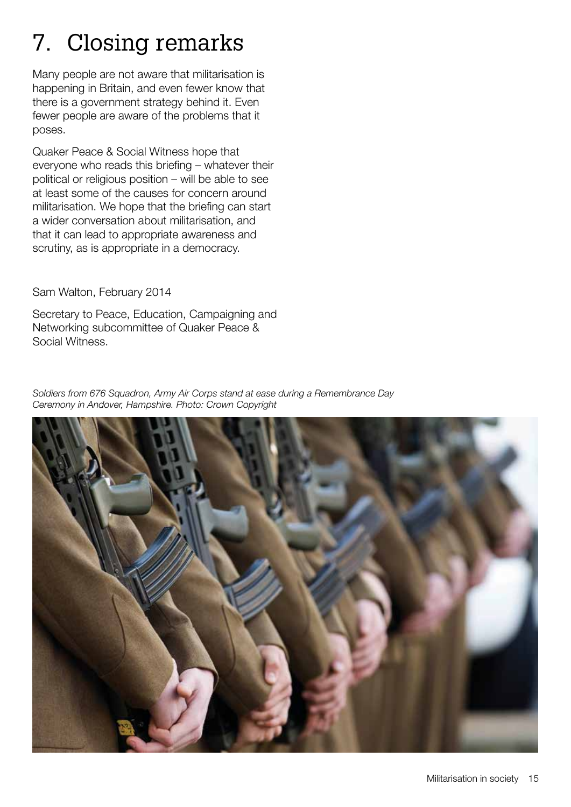## 7. Closing remarks

Many people are not aware that militarisation is happening in Britain, and even fewer know that there is a government strategy behind it. Even fewer people are aware of the problems that it poses.

Quaker Peace & Social Witness hope that everyone who reads this briefing – whatever their political or religious position – will be able to see at least some of the causes for concern around militarisation. We hope that the briefing can start a wider conversation about militarisation, and that it can lead to appropriate awareness and scrutiny, as is appropriate in a democracy.

Sam Walton, February 2014

Secretary to Peace, Education, Campaigning and Networking subcommittee of Quaker Peace & Social Witness.

*Soldiers from 676 Squadron, Army Air Corps stand at ease during a Remembrance Day Ceremony in Andover, Hampshire. Photo: Crown Copyright*